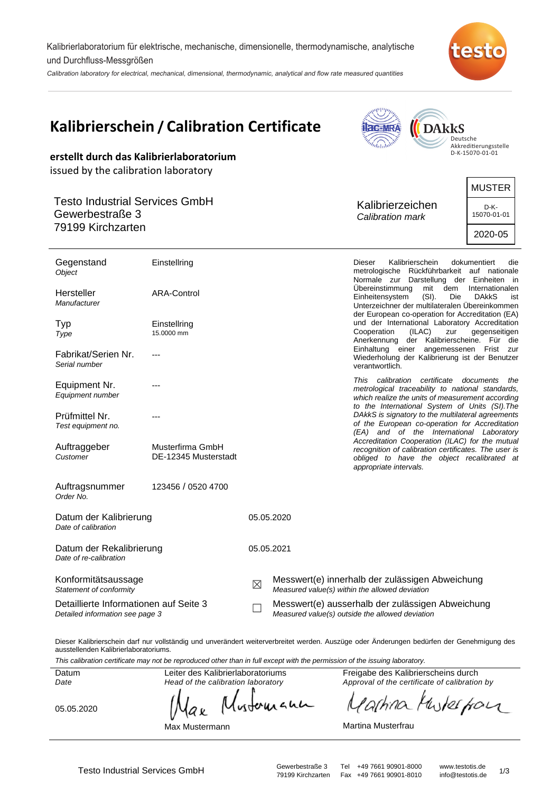Kalibrierlaboratorium für elektrische, mechanische, dimensionelle, thermodynamische, analytische und Durchfluss-Messgrößen

Calibration laboratory for electrical, mechanical, dimensional, thermodynamic, analytical and flow rate measured quantities



| Kalibrierschein / Calibration Certificate                                 |                                          |               |                                                                                                     | <b>ac-MRA</b>                      | <b>DARKS</b>                                                                                                                                          |                                        |
|---------------------------------------------------------------------------|------------------------------------------|---------------|-----------------------------------------------------------------------------------------------------|------------------------------------|-------------------------------------------------------------------------------------------------------------------------------------------------------|----------------------------------------|
|                                                                           |                                          |               |                                                                                                     | hilalu                             |                                                                                                                                                       | Deutsche<br>Akkreditierungsstelle      |
| erstellt durch das Kalibrierlaboratorium                                  |                                          |               |                                                                                                     |                                    |                                                                                                                                                       | D-K-15070-01-01                        |
| issued by the calibration laboratory                                      |                                          |               |                                                                                                     |                                    |                                                                                                                                                       |                                        |
|                                                                           |                                          |               |                                                                                                     |                                    |                                                                                                                                                       | <b>MUSTER</b>                          |
| <b>Testo Industrial Services GmbH</b>                                     |                                          |               |                                                                                                     | Kalibrierzeichen                   | D-K-                                                                                                                                                  |                                        |
| Gewerbestraße 3<br>79199 Kirchzarten                                      |                                          |               |                                                                                                     | Calibration mark                   |                                                                                                                                                       | 15070-01-01                            |
|                                                                           |                                          |               |                                                                                                     |                                    |                                                                                                                                                       | 2020-05                                |
| Gegenstand<br>Object                                                      | Einstellring                             |               |                                                                                                     | Dieser                             | Kalibrierschein<br>metrologische Rückführbarkeit auf nationale<br>Normale zur Darstellung der Einheiten in                                            | dokumentiert<br>die                    |
| Hersteller<br>Manufacturer                                                | ARA-Control                              |               |                                                                                                     | Ubereinstimmung<br>Einheitensystem | mit<br>dem<br>$(SI)$ .<br>Die<br>Unterzeichner der multilateralen Übereinkommen<br>der European co-operation for Accreditation (EA)                   | Internationalen<br><b>DAKKS</b><br>ist |
| Typ                                                                       | Einstellring                             |               |                                                                                                     |                                    | und der International Laboratory Accreditation                                                                                                        |                                        |
| Type                                                                      | 15.0000 mm                               |               |                                                                                                     | Cooperation<br>Anerkennung         | (ILAC)<br>zur<br>der Kalibrierscheine. Für die                                                                                                        | gegenseitigen                          |
| Fabrikat/Serien Nr.<br>Serial number                                      |                                          |               |                                                                                                     | verantwortlich.                    | Einhaltung einer angemessenen Frist zur<br>Wiederholung der Kalibrierung ist der Benutzer                                                             |                                        |
| Equipment Nr.                                                             |                                          |               |                                                                                                     | This calibration certificate       | metrological traceability to national standards,                                                                                                      | documents<br>the                       |
| Equipment number                                                          |                                          |               |                                                                                                     |                                    | which realize the units of measurement according<br>to the International System of Units (SI). The                                                    |                                        |
| Prüfmittel Nr.                                                            |                                          |               |                                                                                                     |                                    | DAkkS is signatory to the multilateral agreements<br>of the European co-operation for Accreditation                                                   |                                        |
| Test equipment no.                                                        |                                          |               |                                                                                                     |                                    | (EA) and of the International Laboratory                                                                                                              |                                        |
| Auftraggeber<br>Customer                                                  | Musterfirma GmbH<br>DE-12345 Musterstadt |               |                                                                                                     | appropriate intervals.             | Accreditation Cooperation (ILAC) for the mutual<br>recognition of calibration certificates. The user is<br>obliged to have the object recalibrated at |                                        |
| Auftragsnummer<br>Order No.                                               | 123456 / 0520 4700                       |               |                                                                                                     |                                    |                                                                                                                                                       |                                        |
| Datum der Kalibrierung<br>Date of calibration                             |                                          | 05.05.2020    |                                                                                                     |                                    |                                                                                                                                                       |                                        |
| Datum der Rekalibrierung<br>Date of re-calibration                        |                                          |               | 05.05.2021                                                                                          |                                    |                                                                                                                                                       |                                        |
| Konformitätsaussage<br>Statement of conformity                            |                                          | $\boxtimes$   | Messwert(e) innerhalb der zulässigen Abweichung<br>Measured value(s) within the allowed deviation   |                                    |                                                                                                                                                       |                                        |
| Detaillierte Informationen auf Seite 3<br>Detailed information see page 3 |                                          | $\mathcal{L}$ | Messwert(e) ausserhalb der zulässigen Abweichung<br>Measured value(s) outside the allowed deviation |                                    |                                                                                                                                                       |                                        |
|                                                                           |                                          |               |                                                                                                     |                                    |                                                                                                                                                       |                                        |

Dieser Kalibrierschein darf nur vollständig und unverändert weiterverbreitet werden. Auszüge oder Änderungen bedürfen der Genehmigung des ausstellenden Kalibrierlaboratoriums.

This calibration certificate may not be reproduced other than in full except with the permission of the issuing laboratory.

Datum Date

05.05.2020

Head of the calibration laboratory wounand a v

Leiter des Kalibrierlaboratoriums

Max Mustermann

Freigabe des Kalibrierscheins durch Approval of the certificate of calibration by

the four 'a(hina N

Martina Musterfrau

Testo Industrial Services GmbH<br>
79199 Kirchzarten Fax +49 7661 90901-8010 info@testotis.de 1/3 79199 Kirchzarten Fax +49 7661 90901-8010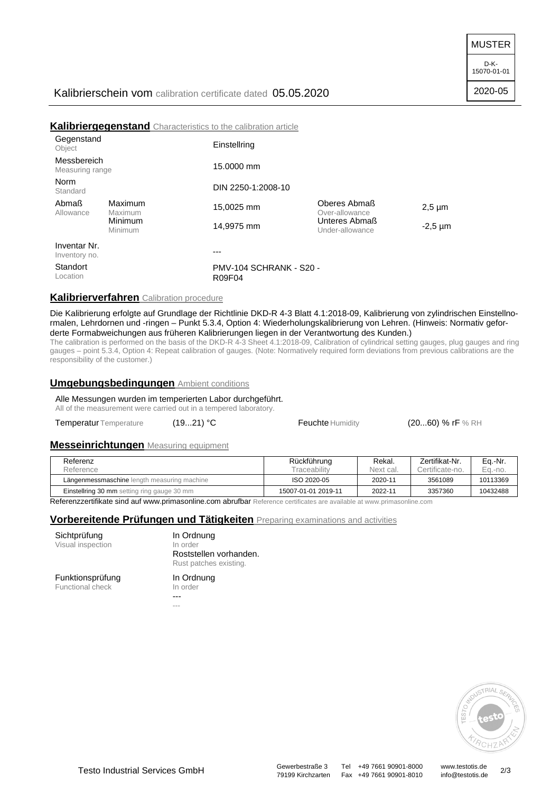MUSTER

2020-05

|                                |                    | Kalibriergegenstand Characteristics to the calibration article |                                  |              |
|--------------------------------|--------------------|----------------------------------------------------------------|----------------------------------|--------------|
| Gegenstand<br>Object           |                    | Einstellring                                                   |                                  |              |
| Messbereich<br>Measuring range |                    | 15,0000 mm                                                     |                                  |              |
| Norm<br>Standard               |                    | DIN 2250-1:2008-10                                             |                                  |              |
| Abmaß<br>Allowance             | Maximum<br>Maximum | 15,0025 mm                                                     | Oberes Abmaß<br>Over-allowance   | $2,5 \mu m$  |
|                                | Minimum<br>Minimum | 14.9975 mm                                                     | Unteres Abmaß<br>Under-allowance | $-2,5 \mu m$ |
| Inventar Nr.<br>Inventory no.  |                    |                                                                |                                  |              |
| Standort<br>Location           |                    | PMV-104 SCHRANK - S20 -<br>R09F04                              |                                  |              |

# **Kalibrierverfahren** Calibration procedure

Die Kalibrierung erfolgte auf Grundlage der Richtlinie DKD-R 4-3 Blatt 4.1:2018-09, Kalibrierung von zylindrischen Einstellnormalen, Lehrdornen und -ringen – Punkt 5.3.4, Option 4: Wiederholungskalibrierung von Lehren. (Hinweis: Normativ geforderte Formabweichungen aus früheren Kalibrierungen liegen in der Verantwortung des Kunden.)

The calibration is performed on the basis of the DKD-R 4-3 Sheet 4.1:2018-09, Calibration of cylindrical setting gauges, plug gauges and ring gauges – point 5.3.4, Option 4: Repeat calibration of gauges. (Note: Normatively required form deviations from previous calibrations are the responsibility of the customer.)

## **Umgebungsbedingungen** Ambient conditions

Alle Messungen wurden im temperierten Labor durchgeführt.

All of the measurement were carried out in a tempered laboratory.

Temperatur Temperature (19...21) °C Feuchte Humidity (20...60) % rF % RH

## **Messeinrichtungen** Measuring equipment

| Referenz                                           | Rückführung         | Rekal.    | Zertifikat-Nr.  | Eq.-Nr.  |
|----------------------------------------------------|---------------------|-----------|-----------------|----------|
| Reference                                          | <b>Fraceability</b> | Next cal. | Certificate-no. | Ea.-no.  |
| Längenmessmaschine length measuring machine        | ISO 2020-05         | 2020-11   | 3561089         | 10113369 |
| <b>Einstellring 30 mm</b> setting ring gauge 30 mm | 15007-01-01 2019-11 | 2022-11   | 3357360         | 10432488 |

Referenzzertifikate sind auf www.primasonline.com abrufbar Reference certificates are available at www.primasonline.com

## **Vorbereitende Prüfungen und Tätigkeiten** Preparing examinations and activities

| Sichtprüfung      |
|-------------------|
| Visual inspection |

In Ordnung In order Roststellen vorhanden. Rust patches existing.

# Funktionsprüfung

Functional check

## In Ordnung

- In order
- --- ---



Testo Industrial Services GmbH<br>
79199 Kirchzarten Fax +49 7661 90901-8010 info@testotis.de 2/3 79199 Kirchzarten Fax +49 7661 90901-8010